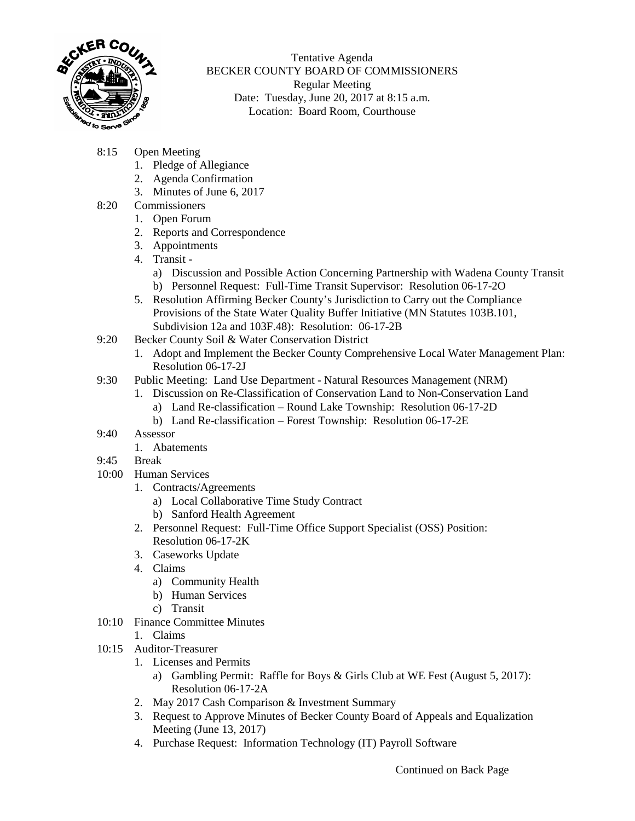

Tentative Agenda BECKER COUNTY BOARD OF COMMISSIONERS Regular Meeting Date: Tuesday, June 20, 2017 at 8:15 a.m. Location: Board Room, Courthouse

- 8:15 Open Meeting
	- 1. Pledge of Allegiance
	- 2. Agenda Confirmation
	- 3. Minutes of June 6, 2017
- 8:20 Commissioners
	- 1. Open Forum
		- 2. Reports and Correspondence
	- 3. Appointments
	- 4. Transit
		- a) Discussion and Possible Action Concerning Partnership with Wadena County Transit
		- b) Personnel Request: Full-Time Transit Supervisor: Resolution 06-17-2O
	- 5. Resolution Affirming Becker County's Jurisdiction to Carry out the Compliance Provisions of the State Water Quality Buffer Initiative (MN Statutes 103B.101, Subdivision 12a and 103F.48): Resolution: 06-17-2B
- 9:20 Becker County Soil & Water Conservation District
	- 1. Adopt and Implement the Becker County Comprehensive Local Water Management Plan: Resolution 06-17-2J
- 9:30 Public Meeting: Land Use Department Natural Resources Management (NRM)
	- 1. Discussion on Re-Classification of Conservation Land to Non-Conservation Land
		- a) Land Re-classification Round Lake Township: Resolution 06-17-2D
		- b) Land Re-classification Forest Township: Resolution 06-17-2E
- 9:40 Assessor
	- 1. Abatements
- 9:45 Break
- 10:00 Human Services
	- 1. Contracts/Agreements
		- a) Local Collaborative Time Study Contract
		- b) Sanford Health Agreement
	- 2. Personnel Request: Full-Time Office Support Specialist (OSS) Position: Resolution 06-17-2K
	- 3. Caseworks Update
	- 4. Claims
		- a) Community Health
		- b) Human Services
		- c) Transit
- 10:10 Finance Committee Minutes
	- 1. Claims
- 10:15 Auditor-Treasurer
	- 1. Licenses and Permits
		- a) Gambling Permit: Raffle for Boys & Girls Club at WE Fest (August 5, 2017): Resolution 06-17-2A
	- 2. May 2017 Cash Comparison & Investment Summary
	- 3. Request to Approve Minutes of Becker County Board of Appeals and Equalization Meeting (June 13, 2017)
	- 4. Purchase Request: Information Technology (IT) Payroll Software